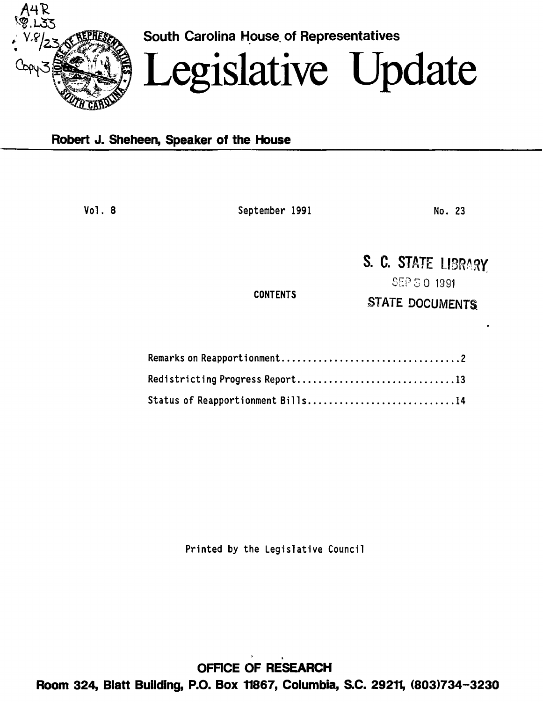

South Carolina House of Representatives

# Legislative Update

## Robert J. Sheheen, Speaker of the House

Vol. 8 September 1991

No. 23

# S. C. STATE LIBRARY

**CONTENTS** 

SEP S 0 1991 STATE DOCUMENTS.

| Status of Reapportionment Bills14 |
|-----------------------------------|

Printed by the Legislative Council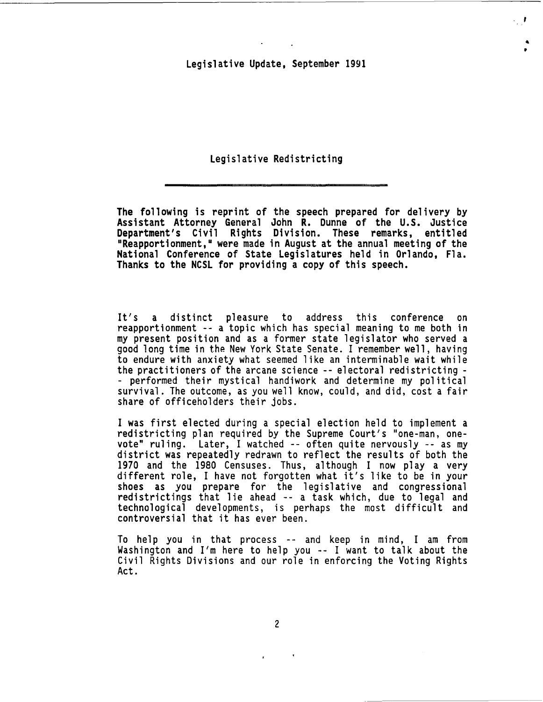$\ddot{\phantom{a}}$ •

Legislative Redistricting

The following is reprint of the speech prepared for delivery by Assistant Attorney General John R. Dunne of the U.S. Justice Department's Civil Rights Division. These remarks, entitled "Reapportionment," were made in August at the annual meeting of the National Conference of State Legislatures held in Orlando, Fla. Thanks to the NCSL for providing a copy of this speech.

It's a distinct pleasure to address this conference on reapportionment -- a topic which has special meaning to me both in my present position and as a former state legislator who served a good long time in the New York State Senate. I remember well, having to endure with anxiety what seemed like an interminable wait while the practitioners of the arcane science -- electoral redistricting- - performed their mystical handiwork and determine my political survival. The outcome, as you well know, could, and did, cost a fair share of officeholders their jobs.

I was first elected during a special election held to implement a redistricting plan required by the Supreme Court's "one-man, onevote" ruling. Later, I watched -- often quite nervously -- as my<br>district was repeatedly redrawn to reflect the results of both the<br>1970 and the 1980 Censuses. Thus, although I now play a very different role, I have not forgotten what it's like to be in your<br>shoes as you prepare for the legislative and congressional<br>redistrictings that lie ahead -- a task which, due to legal and technological developments, is perhaps the most difficult and controversial that it has ever been.

To help you in that process -- and keep in mind, I am from Washington and I'm here to help you -- I want to talk about the Civil Rights Divisions and our role in enforcing the Voting Rights<br>Act.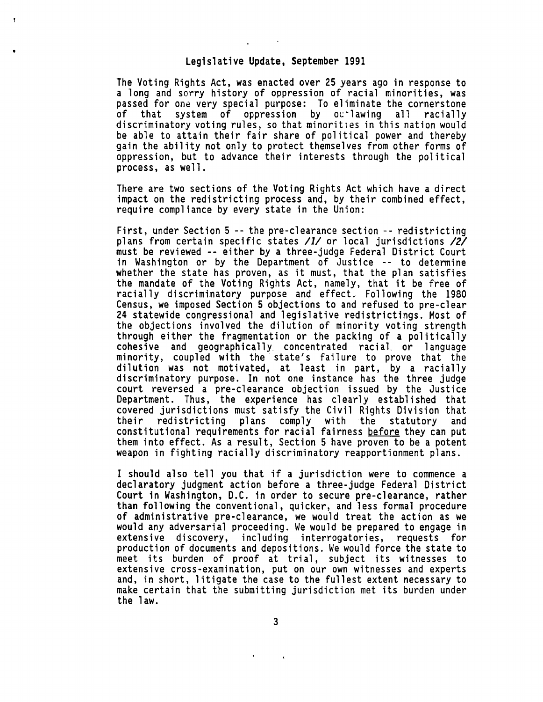The Voting Rights Act, was enacted over 25 years ago in response to a long and sorry history of oppression of racial minorities, was passed for one very special purpose: To eliminate the cornerstone<br>of that system of oppression by outlawing all racially discriminatory voting rules, so that minorities in this nation would<br>be able to attain their fair share of political power and thereby gain the ability not only to protect themselves from other forms of oppression, but to advance their interests through the political process, as well.

There are two sections of the Voting Rights Act which have a direct impact on the redistricting process and, by their combined effect, require compliance by every state in the Union:

First, under Section 5 -- the pre-clearance section -- redistricting plans from certain specific states /1/ or local jurisdictions /2/ must be reviewed -- either by a three-judge Federal District Court in Washington or by the Department of Justice -- to determine whether the state has proven, as it must, that the plan satisfies the mandate of the Voting Rights Act, namely, that it be free of racially discriminatory purpose and effect. Following the 1980<br>Census, we imposed Section 5 objections to and refused to pre-clear 24 statewide congressional and legislative redistrictings. Most of<br>the objections involved the dilution of minority voting strength through either the fragmentation or the packing of a politically<br>cohesive and geographically concentrated racial or language<br>minority, coupled with the state's failure to prove that the<br>dilution was not motivated, at least discriminatory purpose. In not one instance has the three judge court reversed a pre-clearance objection issued by the Justice Department. Thus, the experience has clearly established that covered jurisdictions must satisfy the Civil Rights Division that plans comply with the statutory and constitutional requirements for racial fairness <u>before</u> they can put<br>them into effect. As a result, Section 5 have proven to be a potent weapon in fighting racially discriminatory reapportionment plans.

I should also tell you that if a jurisdiction were to commence a declaratory judgment action before a three-judge Federal District Court in Washington, D.C. in order to secure pre-clearance, rather than following the conventional, quicker, and less formal procedure<br>of administrative pre-clearance, we would treat the action as we would any adversarial proceeding. We would be prepared to engage in extensive discovery, including interrogatories, requests for production of documents and depositions. We would force the state to meet its burden of proof at trial, subject its witnesses to and, in short, litigate the case to the fullest extent necessary to make certain that the submitting jurisdiction met its burden under the law.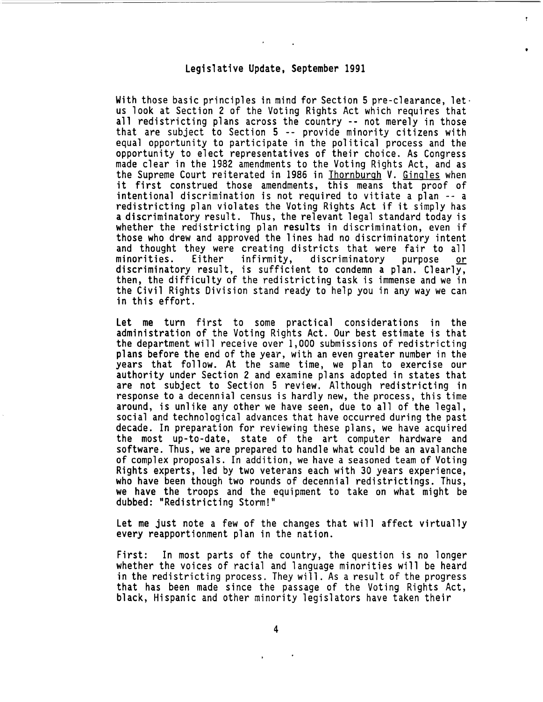With those basic principles in mind for Section 5 pre-clearance, let. us look at Section 2 of the Voting Rights Act which requires that all redistricting plans across the country -- not merely in those that are subject to Section 5 -- provide minority citizens with equal opportunity to participate in the political process and the opportunity to elect representatives of their choice. As Congress made clear in the 1982 amendments to the Voting Rights Act, and as the Supreme Court reiterated in 1986 in Thornburgh V. Gingles when it first construed those amendments, this means that proof of intentional discrimination is not required to vitiate a plan -- a redistricting plan violates the Voting Rights Act if it simply has a discriminatory result. Thus, the relevant legal standard today is whether the redistricting plan results in discrimination, even if those who drew and approved the lines had no discriminatory intent and thought they were creating districts that were fair to all<br>minorities. Either infirmity, discriminatory purpose or minorities. Either infirmity, discriminatory purpose <u>or</u><br>discriminatory-result, is sufficient to condemn a plan. Clearly, then, the difficulty of the redistricting task is immense and we in the Civil Rights Division stand ready to help you in any way we can in this effort.

Let me turn first to some practical considerations in the administration of the Voting Rights Act. Our best estimate is that<br>the department will receive over 1,000 submissions of redistricting plans before the end of the year, with an even greater number in the years that follow. At the same time, we plan to exercise our authority under Section 2 and examine plans adopted in states that are not subject to Section 5 review. Although redistricting in response to a decennial census is hardly new, the process, this time around, is unlike any other we have seen, due to all of the legal, social and technological advances that have occurred during the past decade. In preparation for reviewing these plans, we have acquired<br>the most up-to-date, state of the art computer hardware and software. Thus, we are prepared to handle what could be an avalanche of complex proposals. In addition, we have a seasoned team of Voting Rights experts, led by two veterans each with 30 years experience, who have been though two rounds of decennial redistrictings. Thus, we have the troops and the equipment to take on what might be dubbed: "Redistricting Storm!"

Let me just note a few of the changes that will affect virtually every reapportionment plan in the nation.

First: In most parts of the country, the question is no longer<br>whether the voices of racial and language minorities will be heard in the redistricting process. They will. As a result of the progress that has been made since the passage of the Voting Rights Act, black, Hispanic and other minority legislators have taken their

4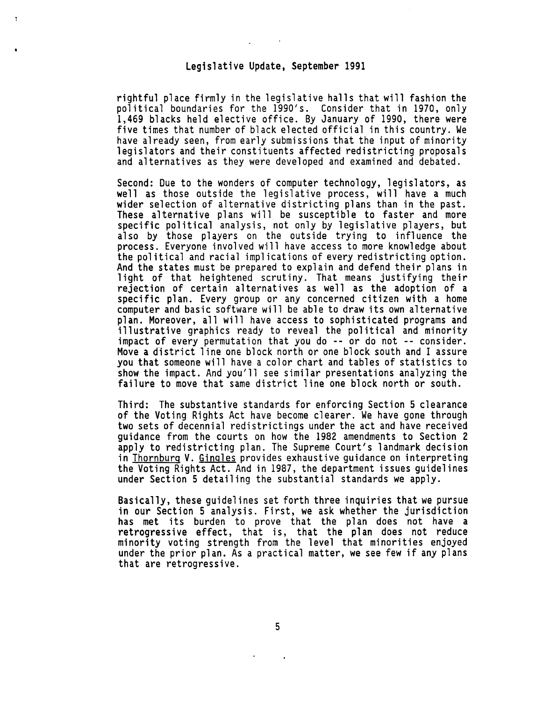rightful place firmly in the legislative halls that will fashion the political boundaries for the 1990's. Consider that in 1970, only 1,469 blacks held elective office. By January of 1990, there were five times that number of black elected official in this country. We<br>have already seen, from early submissions that the input of minority hegislators and their constituents affected redistricting proposals<br>and alternatives as they were developed and examined and debated.

Second: Due to the wonders of computer technology, legislators, as well as those outside the legislative process, will have a much<br>wider selection of alternative districting plans than in the past. These alternative plans will be susceptible to faster and more specific political analysis, not only by legislative players, but also by those players on the outside trying to influence the process. Everyone involved will have access to more knowledge about the political and racial implications of every redistricting option. And the states must be prepared to explain and defend their plans in light of that heightened scrutiny. That means justifying their rejection of certain alternatives as well as the adoption of a specific plan. Every group or any concerned citizen with a home computer and basic software will be able to draw its own alternative plan. Moreover, all will have access to sophisticated programs and<br>illustrative graphics ready to reveal the political and minority illustrative graphics ready to reveal the political and minority<br>impact of every permutation that you do -- or do not -- consider. Move a district line one block north or one block south and I assure you that someone will have a color chart and tables of statistics to show the impact. And you'll see similar presentations analyzing the failure to move that same district line one block north or south.

Third: The substantive standards for enforcing Section 5 clearance of the Voting Rights Act have become clearer. We have gone through two sets of decennial redistrictings under the act and have received guidance from the courts on how the 1982 amendments to Section 2 apply to redistricting plan. The Supreme Court's landmark decision<br>in Thornburg V. Gingles provides exhaustive guidance on interpreting the Voting Rights Act. And in 1987, the department issues guidelines under Section 5 detailing the substantial standards we apply.

Basically, these guidelines set forth three inquiries that we pursue in our Section 5 analysis. First, we ask whether the jurisdiction has met its burden to prove that the plan does not have a retrogressive effect, that is, that the plan does not reduce minority voting strength from the level that minorities enjoyed under the prior plan. As a practical matter, we see few if any plans that are retrogressive.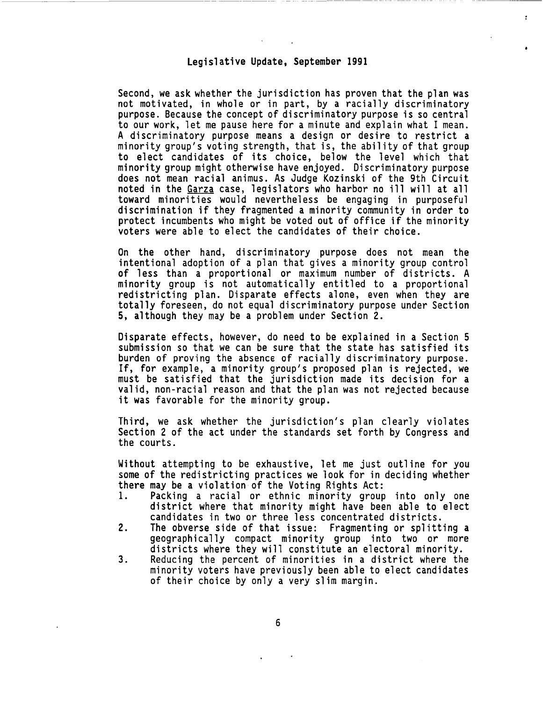Second, we ask whether the jurisdiction has proven that the plan was not motivated, in whole or in part, by a racially discriminatory purpose. Because the concept of discriminatory purpose is so central to our work, let me pause here for a minute and explain what I mean. A discriminatory purpose means a design or desire to restrict a minority group's voting strength, that is, the ability of that group to elect candidates of its choice, below the level which that minority group might otherwise have enjoyed. Discriminatory purpose does not mean racial animus. As Judge Kozinski of the 9th Circuit noted in the Garza case, legislators who harbor no ill will at all toward minorities would nevertheless be engaging in purposeful discrimination if they fragmented a minority community in order to protect incumbents who might be voted out of office if the minority voters were able to elect the candidates of their choice.

On the other hand, discriminatory purpose does not mean the intentional adoption of a plan that gives a minority group control of less than a proportional or maximum number of districts. A<br>minority group is not automatically entitled to a proportional redistricting plan. Disparate effects alone, even when they are totally foreseen, do not equal discriminatory purpose under Section 5, although they may be a problem under Section 2.

Disparate effects, however, do need to be explained in a Section 5 submission so that we can be sure that the state has satisfied its burden of proving the absence of racially discriminatory purpose. If, for example, a minority group's proposed plan is rejected, we must be satisfied that the jurisdiction made its decision for a valid, non-racial reason and that the plan was not rejected because it was favorable for the minority group.

Third, we ask whether the jurisdiction's plan clearly violates Section 2 of the act under the standards set forth by Congress and the courts.

Without attempting to be exhaustive, let me just outline for you some of the redistricting practices we look for in deciding whether there may be a violation of the Voting Rights Act:

- Packing a racial or ethnic minority group into only one district where that minority might have been able to elect candidates in two or three less concentrated districts.
- 2. The obverse side of that issue: Fragmenting or splitting a geographically compact minority group into two or more<br>districts where they will constitute an electoral minority.
- 3. Reducing the percent of minorities in a district where the minority voters have previously been able to elect candidates of their choice by only a very slim margin.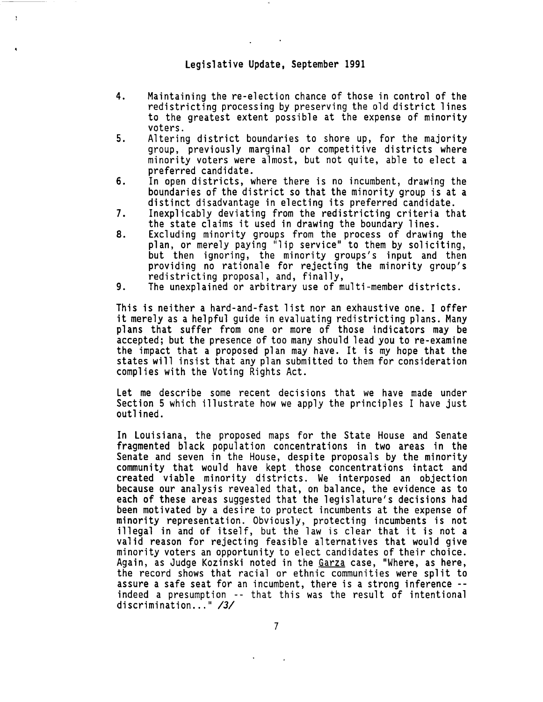$\mathbf{r}$ 

- 4. Maintaining the re-election chance of those in control of the redistricting processing by preserving the old district lines to the greatest extent possible at the expense of minority voters.
- 5. Altering district boundaries to shore up, for the majority group, previously marginal or competitive districts where minority voters were almost, but not quite, able to elect a preferred candidate.
- 6. In open districts, where there is no incumbent, drawing the boundaries of the district so that the minority group is at a distinct disadvantage in electing its preferred candidate.
- 7. Inexplicably deviating from the redistricting criteria that the state claims it used in drawing the boundary lines.
- 8. Excluding minority groups from the process of drawing the plan, or merely paying "lip service" to them by soliciting, but then ignoring, the minority groups's input and then providing no rationale for rejecting the minority group's<br>redistricting proposal, and, finally,<br>9. The unexplained or arbitrary use of multi-member districts.
- 

This is neither a hard-and-fast list nor an exhaustive one. I offer it merely as a helpful guide in evaluating redistricting plans. Many<br>plans that suffer from one or more of those indicators may be accepted; but the presence of too many should lead you to re-examine the impact that a proposed plan may have. It is my hope that the states will insist that any plan submitted to them for consideration complies with the Voting Rights Act.

Let me describe some recent decisions that we have made under Section 5 which illustrate how we apply the principles I have just outlined.

In Louisiana, the proposed maps for the State House and Senate fragmented black population concentrations in two areas in the community that would have kept those concentrations intact and created viable minority districts. We interposed an objection because our analysis revealed that, on balance, the evidence as to each of these areas suggested that the legislature's decisions had been motivated by a desire to protect incumbents at the expense of minority representation. Obviously, protecting incumbents is not illegal in and of itself, but the law is clear that it is not a valid reason for rejecting feasible alternatives that would give minority voters an opportunity to elect candidates of their choice. Again, as Judge Kozinski noted in the Garza case, "Where, as here, the record shows that racial or ethnic communities were split to assure a safe seat for an incumbent, there is a strong inference -indeed a presumption -- that this was the result of intentional discrimination..." /3/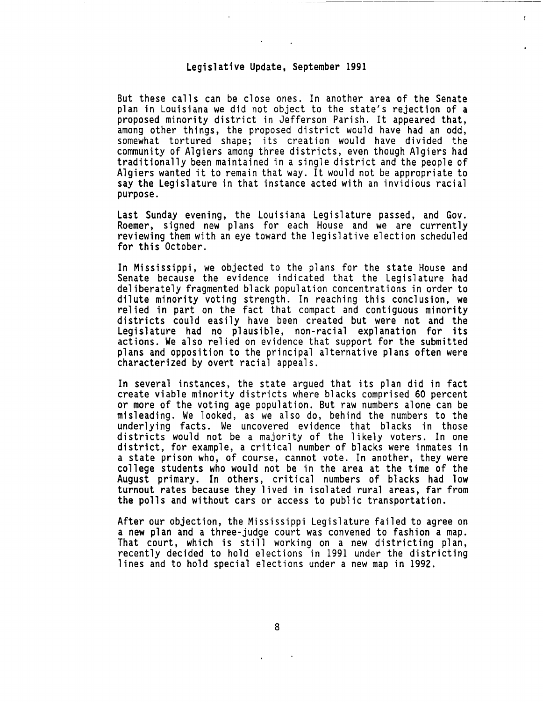But these calls can be close ones. In another area of the Senate plan in Louisiana we did not object to the state's rejection of a proposed minority district in Jefferson Parish. It appeared that, among other things, the proposed district would have had an odd, somewhat tortured shape; its creation would have divided the community of Algiers among three districts, even though Algiers had traditionally been maintained in a single district and the people of Algiers wanted it to remain that way. It would not be appropriate to say the Legislature in that instance acted with an invidious racial purpose.

Last Sunday evening, the Louisiana Legislature passed, and Gov. Roemer, signed new plans for each House and we are currently reviewing them with an eye toward the legislative election scheduled for this October.

In Mississippi, we objected to the plans for the state House and Senate because the evidence indicated that the Legislature had deliberately fragmented black population concentrations in order to dilute minority voting strength. In reaching this conclusion, we relied in part on the fact that compact and contiguous minority<br>districts could easily have been created but were not and the Legislature had no plausible, non-racial explanation for its actions. We also relied on evidence that support for the submitted plans and opposition to the principal alternative plans often were characterized by overt racial appeals.

In several instances, the state argued that its plan did in fact create viable minority districts where blacks comprised 60 percent or more of the voting age population. But raw numbers alone can be misleading. We looked, as we also do, behind the numbers to the underlying facts. We uncovered evidence that blacks in those districts would not be a majority of the likely voters. In one district, for example, a critical number of blacks were inmates in a state prison who, of course, cannot vote. In another, they were college students who would not be in the area at the time of the August primary. In others, critical numbers of blacks had low turnout rates because they lived in isolated rural areas, far from the polls and without cars or access to public transportation.

After our objection, the Mississippi Legislature failed to agree on<br>a new plan and a three-judge court was convened to fashion a map. That court, which is still working on a new districting plan, recently decided to hold elections in 1991 under the districting lines and to hold special elections under a new map in 1992.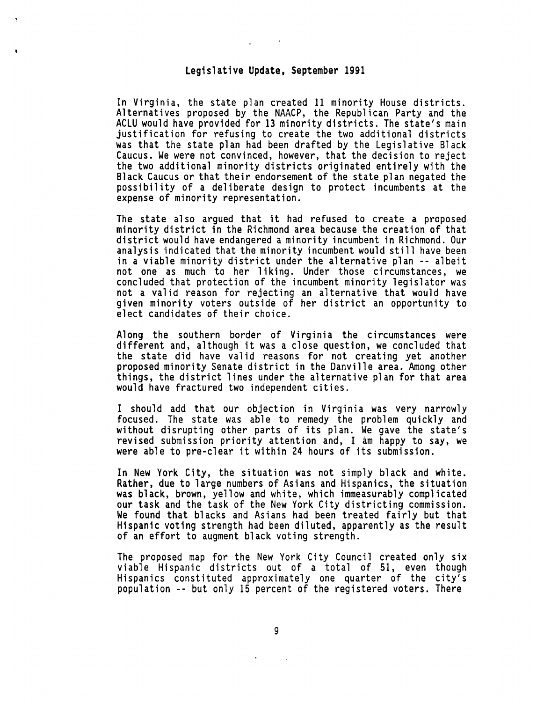In Virginia, the state plan created 11 minority House districts. Alternatives proposed by the NAACP, the Republican Party and the ACLU would have provided for 13 minority districts. The state's main justification for refusing to create the two additional districts was that the state plan had been drafted by the Legislative Black<br>Caucus. We were not convinced, however, that the decision to reject the two additional minority districts originated entirely with the Black Caucus or that their endorsement of the state plan negated the possibility of a deliberate design to protect incumbents at the expense of minority representation.

The state also argued that it had refused to create a proposed minority district in the Richmond area because the creation of that district would have endangered a minority incumbent in Richmond. Our analysis indicated that the minority incumbent would still have been in a viable minority district under the alternative plan -- albeit not one as much to her liking. Under those circumstances, we concluded that protection of the incumbent minority legislator was not a valid reason for rejecting an alternative that would have given minority voters outside of her district an opportunity to elect candidates of their choice.

Along the southern border of Virginia the circumstances were different and, although it was a close question, we concluded that the state did have valid reasons for not creating yet another proposed minority Senate district in the Danville area. Among other things, the district lines under the alternative plan for that area would have fractured two independent cities.

I should add that our objection in Virginia was very narrowly focused. The state was able to remedy the problem quickly and without disrupting other parts of its plan. We gave the state's revised submission priority attention and, I am happy to say, we were able to pre-clear it within 24 hours of its submission.

In New York City, the situation was not simply black and white. Rather, due to large numbers of Asians and Hispanics, the situation was black, brown, yellow and white, which immeasurably complicated our task and the task of the New York City districting commission. We found that blacks and Asians had been treated fairly but that Hispanic voting strength had been diluted, apparently as the result of an effort to augment black voting strength.

The proposed map for the New York City Council created only six<br>viable Hispanic districts out of a total of 51, even though Hispanics constituted approximately one quarter of the city's population -- but only 15 percent of the registered voters. There

9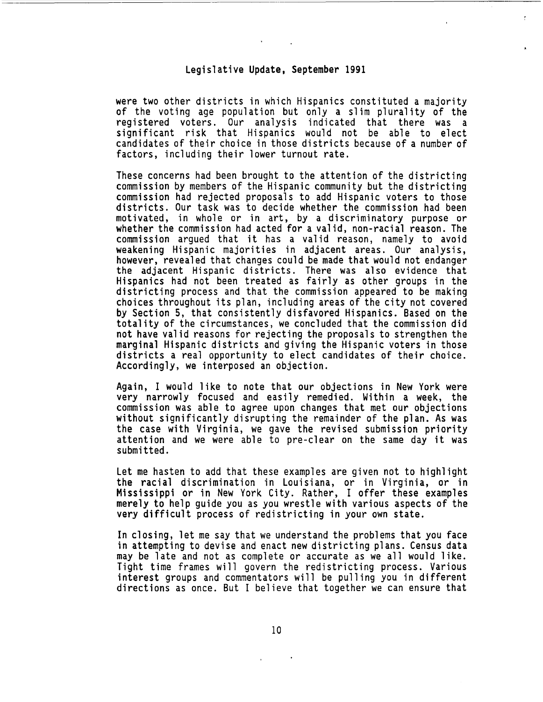were two other districts in which Hispanics constituted a majority of the voting age population but only a slim plurality of the registered voters. Our analysis indicated that there was a significant risk that Hispanics would not be able to elect candidates of their choice in those districts because of a number of factors, including their lower turnout rate.

These concerns had been brought to the attention of the districting commission by members of the Hispanic community but the districting commission had rejected proposals to add Hispanic voters to those districts. Our task was to decide whether the commission had been motivated, in whole or in art, by a discriminatory purpose or whether the commission had acted for a valid, non-racial reason. The commission argued that it has a valid reason, namely to avoid weakening Hispanic majorities in adjacent areas. Our analysis, however, revealed that changes could be made that would not endanger the adjacent Hispanic districts. There was also evidence that Hispanics had not been treated as fairly as other groups in the districting process and that the commission appeared to be making choices throughout its plan, including areas of the city not covered by Section 5, that consistently disfavored Hispanics. Based on the totality of the circumstances, we concluded that the commission did not have valid reasons for rejecting the proposals to strengthen the marginal Hispanic districts and giving the Hispanic voters in those districts a real opportunity to elect candidates of their choice. Accordingly, we interposed an objection.

Again, I would like to note that our objections in New York were very narrowly focused and easily remedied. Within a week, the without significantly disrupting the remainder of the plan. As was the case with Virginia, we gave the revised submission priority attention and we were able to pre-clear on the same day it was submitted.

Let me hasten to add that these examples are given not to highlight<br>the racial discrimination in Louisiana, or in Virginia, or in Mississippi or in New York City. Rather, I offer these examples merely to help guide you as you wrestle with various aspects of the very difficult process of redistricting in your own state.

In closing, let me say that we understand the problems that you face in attempting to devise and enact new districting plans. Census data may be late and not as complete or accurate as we all would like. Tight time frames will govern the redistricting process. Various interest groups and commentators will be pulling you in different directions as once. But I believe that together we can ensure that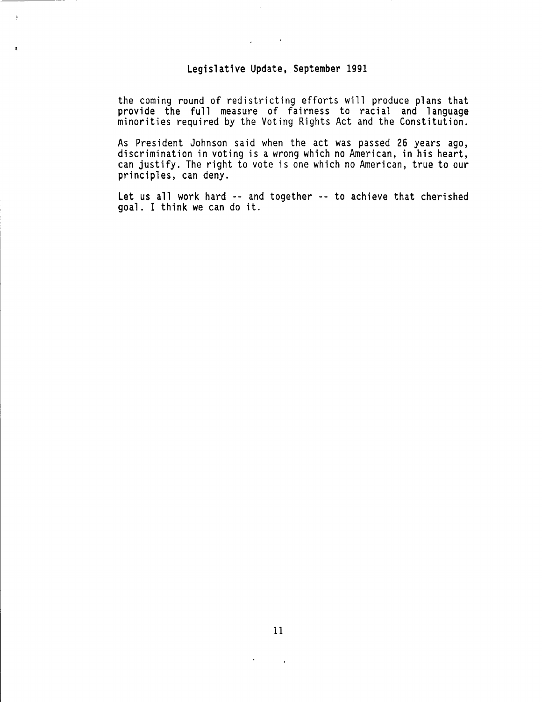$\ddot{\phantom{1}}$ 

the coming round of redistricting efforts will produce plans that<br>provide the full measure of fairness to racial and language minorities required by the Voting Rights Act and the Constitution.

As President Johnson said when the act was passed 26 years ago, discrimination in voting is a wrong which no American, in his heart, can justify. The right to vote is one which no American, true to our principles, can deny.

Let us all work hard -- and together -- to achieve that cherished goal. I think we can do it.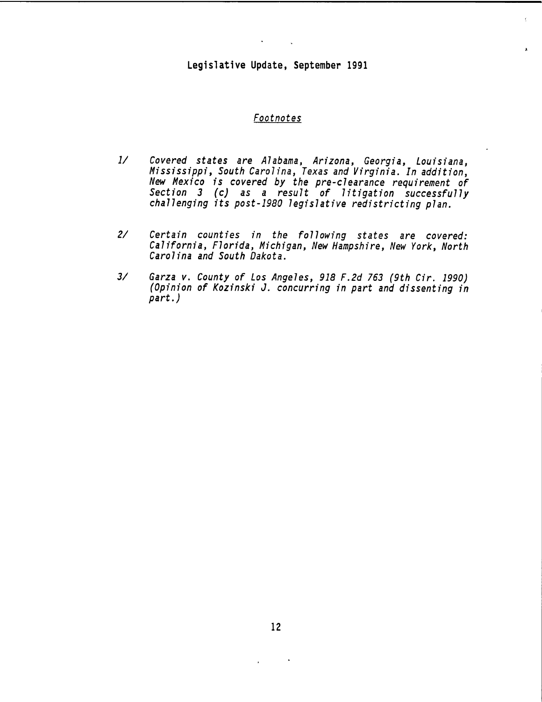#### *Footnotes*

- *1/ Covered states are Alabama, Arizona, Georgia, Louisiana, Mississippi, South Carolina, Texas and Virginia. In addition, New Mexico is covered by the pre-clearance requirement of Section 3 (c) as a result of litigation successfully challenging its post-1980 legislative redistricting plan.*
- *2/ Certain counties in the following states are covered: California, Florida, Michigan, New Hampshire, New York, North Carolina and South Dakota.*
- *3/ Garza v. County of Los Angeles, 918 F.2d 763 (9th Cir. 1990) (Opinion of Kozinski J. concurring in part and dissenting in part.)*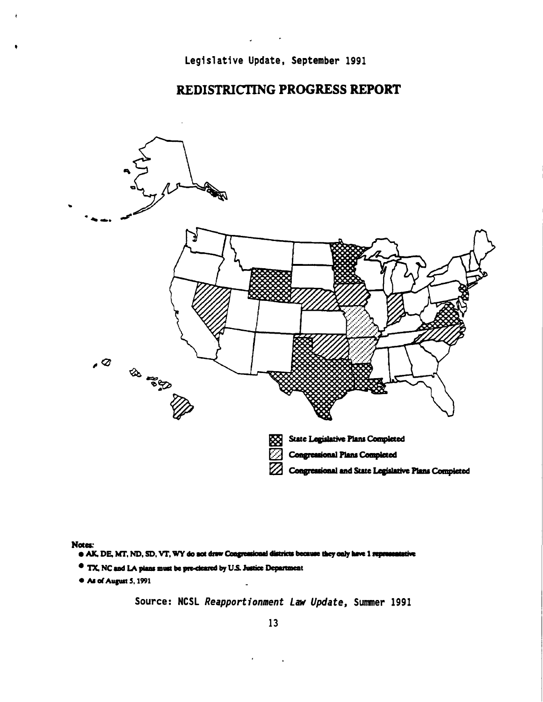### REDISTRICTING PROGRESS REPORT



Nota:

- e AK, DE, MT, ND, SD, VT, WY do not draw Congressional districts because they only have 1 representative
- <sup>e</sup> TX, NC and LA plans must be pre-cleared by U.S. Justice Department
- <sup>e</sup> As of August 5, 1991

Source: NCSL *Reapportionment Law Update,* Summer 1991